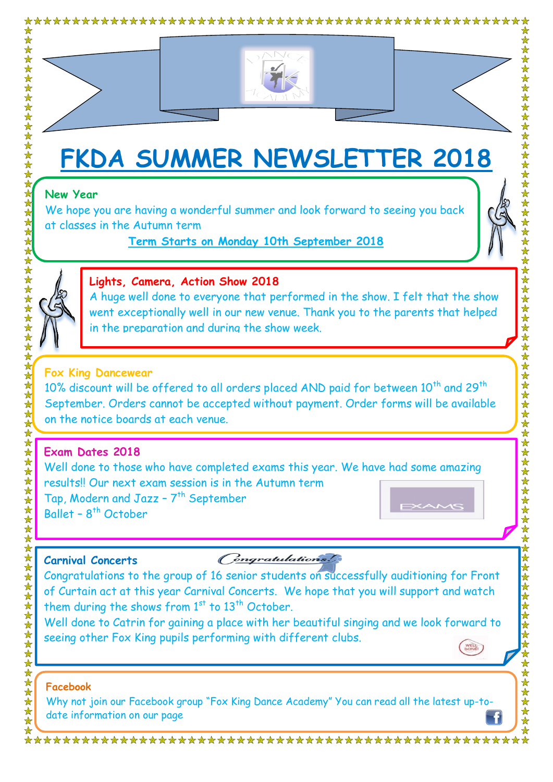

# **FKDA SUMMER NEWSLETTER 2018**

#### **New Year**

We hope you are having a wonderful summer and look forward to seeing you back at classes in the Autumn term

#### **Term Starts on Monday 10th September 2018**



# **Lights, Camera, Action Show 2018**

A huge well done to everyone that performed in the show. I felt that the show went exceptionally well in our new venue. Thank you to the parents that helped in the preparation and during the show week.

#### **Fox King Dancewear**

10% discount will be offered to all orders placed AND paid for between  $10^{th}$  and  $29^{th}$ September. Orders cannot be accepted without payment. Order forms will be available on the notice boards at each venue.

# **Exam Dates 2018**

Well done to those who have completed exams this year. We have had some amazing results!! Our next exam session is in the Autumn term Tap, Modern and Jazz - 7<sup>th</sup> September Ballet - 8<sup>th</sup> October

#### **Carnival Concerts**

Congratulations

Congratulations to the group of 16 senior students on successfully auditioning for Front of Curtain act at this year Carnival Concerts. We hope that you will support and watch them during the shows from  $1<sup>st</sup>$  to  $13<sup>th</sup>$  October.

Well done to Catrin for gaining a place with her beautiful singing and we look forward to seeing other Fox King pupils performing with different clubs. WELL

#### **Facebook**

Why not join our Facebook group "Fox King Dance Academy" You can read all the latest up-todate information on our page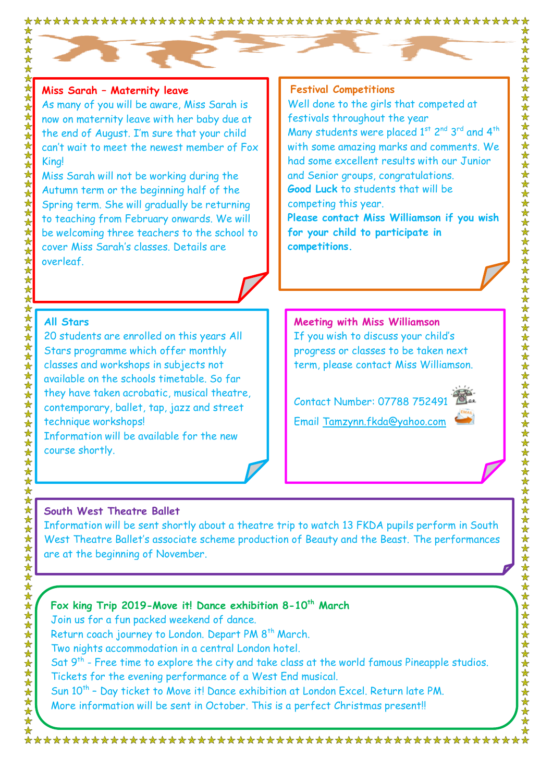#### **Miss Sarah – Maternity leave**

As many of you will be aware, Miss Sarah is now on maternity leave with her baby due at the end of August. I'm sure that your child can't wait to meet the newest member of Fox King!

Miss Sarah will not be working during the Autumn term or the beginning half of the Spring term. She will gradually be returning to teaching from February onwards. We will be welcoming three teachers to the school to cover Miss Sarah's classes. Details are overleaf.

#### **Festival Competitions**

Well done to the girls that competed at festivals throughout the year Many students were placed  $1<sup>st</sup>$  2<sup>nd</sup> 3<sup>rd</sup> and 4<sup>th</sup> with some amazing marks and comments. We had some excellent results with our Junior and Senior groups, congratulations. **Good Luck** to students that will be competing this year. **Please contact Miss Williamson if you wish** 

**for your child to participate in competitions.**

#### **All Stars**

20 students are enrolled on this years All Stars programme which offer monthly classes and workshops in subjects not available on the schools timetable. So far they have taken acrobatic, musical theatre, contemporary, ballet, tap, jazz and street technique workshops! Information will be available for the new course shortly.

#### **Meeting with Miss Williamson**  If you wish to discuss your child's progress or classes to be taken next term, please contact Miss Williamson.

Contact Number: 07788 752491 Email [Tamzynn.fkda@yahoo.com](mailto:Tamzynn.fkda@yahoo.com) 



#### **South West Theatre Ballet**

Information will be sent shortly about a theatre trip to watch 13 FKDA pupils perform in South West Theatre Ballet's associate scheme production of Beauty and the Beast. The performances are at the beginning of November.

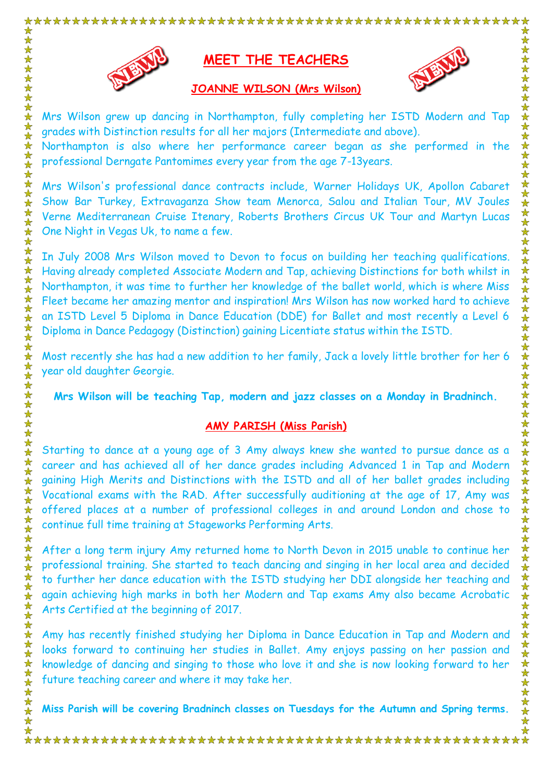

# **MEET THE TEACHERS**



女女女女女女女女女女

女女女女女女女女女女女女女女女女女女女女女女女女

女女女女女女女女女女女

**JOANNE WILSON (Mrs Wilson)**

Mrs Wilson grew up dancing in Northampton, fully completing her ISTD Modern and Tap grades with Distinction results for all her majors (Intermediate and above).

Northampton is also where her performance career began as she performed in the professional Derngate Pantomimes every year from the age 7-13years.

Mrs Wilson's professional dance contracts include, Warner Holidays UK, Apollon Cabaret Show Bar Turkey, Extravaganza Show team Menorca, Salou and Italian Tour, MV Joules Verne Mediterranean Cruise Itenary, Roberts Brothers Circus UK Tour and Martyn Lucas One Night in Vegas Uk, to name a few.

In July 2008 Mrs Wilson moved to Devon to focus on building her teaching qualifications. Having already completed Associate Modern and Tap, achieving Distinctions for both whilst in Northampton, it was time to further her knowledge of the ballet world, which is where Miss Fleet became her amazing mentor and inspiration! Mrs Wilson has now worked hard to achieve an ISTD Level 5 Diploma in Dance Education (DDE) for Ballet and most recently a Level 6 Diploma in Dance Pedagogy (Distinction) gaining Licentiate status within the ISTD.

Most recently she has had a new addition to her family, Jack a lovely little brother for her 6 year old daughter Georgie.

**Mrs Wilson will be teaching Tap, modern and jazz classes on a Monday in Bradninch.**

#### **AMY PARISH (Miss Parish)**

Starting to dance at a young age of 3 Amy always knew she wanted to pursue dance as a career and has achieved all of her dance grades including Advanced 1 in Tap and Modern gaining High Merits and Distinctions with the ISTD and all of her ballet grades including Vocational exams with the RAD. After successfully auditioning at the age of 17, Amy was offered places at a number of professional colleges in and around London and chose to continue full time training at Stageworks Performing Arts.

After a long term injury Amy returned home to North Devon in 2015 unable to continue her professional training. She started to teach dancing and singing in her local area and decided to further her dance education with the ISTD studying her DDI alongside her teaching and again achieving high marks in both her Modern and Tap exams Amy also became Acrobatic Arts Certified at the beginning of 2017.

Amy has recently finished studying her Diploma in Dance Education in Tap and Modern and looks forward to continuing her studies in Ballet. Amy enjoys passing on her passion and knowledge of dancing and singing to those who love it and she is now looking forward to her future teaching career and where it may take her.

**Miss Parish will be covering Bradninch classes on Tuesdays for the Autumn and Spring terms.**